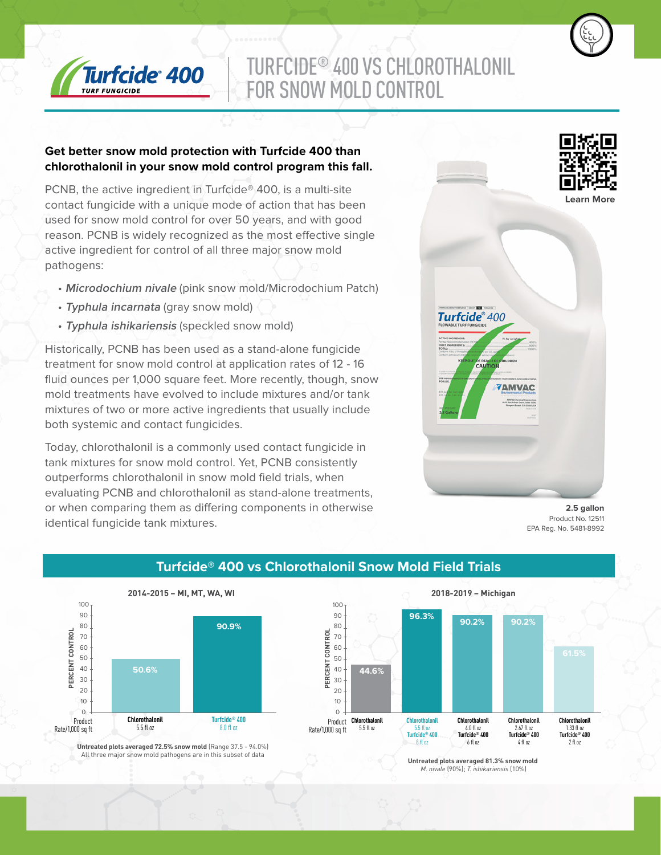

# TURFCIDE® 400 VS CHLOROTHALONIL FOR SNOW MOLD CONTROL

#### **Get better snow mold protection with Turfcide 400 than chlorothalonil in your snow mold control program this fall.**

PCNB, the active ingredient in Turfcide® 400, is a multi-site contact fungicide with a unique mode of action that has been used for snow mold control for over 50 years, and with good reason. PCNB is widely recognized as the most effective single active ingredient for control of all three major snow mold pathogens:

- **Microdochium nivale** (pink snow mold/Microdochium Patch)
- **Typhula incarnata** (gray snow mold)
- **Typhula ishikariensis** (speckled snow mold)

Historically, PCNB has been used as a stand-alone fungicide treatment for snow mold control at application rates of 12 - 16 fluid ounces per 1,000 square feet. More recently, though, snow mold treatments have evolved to include mixtures and/or tank mixtures of two or more active ingredients that usually include both systemic and contact fungicides.

Today, chlorothalonil is a commonly used contact fungicide in tank mixtures for snow mold control. Yet, PCNB consistently outperforms chlorothalonil in snow mold field trials, when evaluating PCNB and chlorothalonil as stand-alone treatments, or when comparing them as differing components in otherwise identical fungicide tank mixtures.



**2.5 gallon** Product No. 12511 EPA Reg. No. 5481-8992



## **Turfcide® 400 vs Chlorothalonil Snow Mold Field Trials**

**Untreated plots averaged 72.5% snow mold** (Range 37.5 - 94.0%) All three major snow mold pathogens are in this subset of data



**Untreated plots averaged 81.3% snow mold**  *M. nivale* (90%); *T. ishikariensis* (10%)